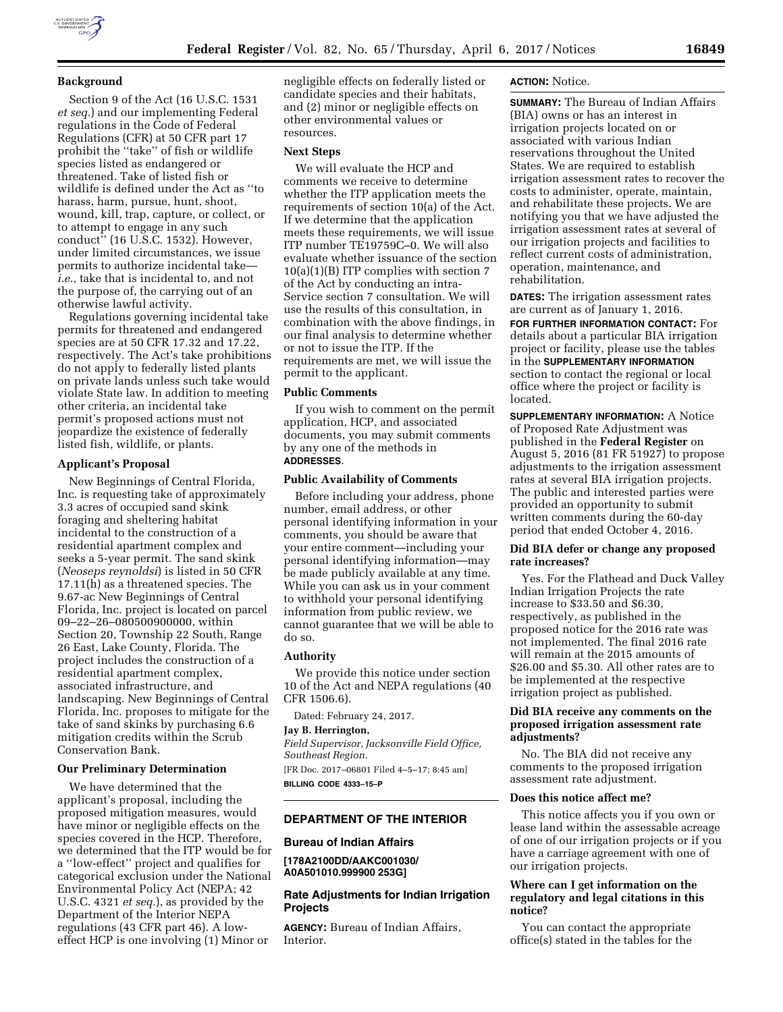

Section 9 of the Act (16 U.S.C. 1531 *et seq.*) and our implementing Federal regulations in the Code of Federal Regulations (CFR) at 50 CFR part 17 prohibit the ''take'' of fish or wildlife species listed as endangered or threatened. Take of listed fish or wildlife is defined under the Act as ''to harass, harm, pursue, hunt, shoot, wound, kill, trap, capture, or collect, or to attempt to engage in any such conduct'' (16 U.S.C. 1532). However, under limited circumstances, we issue permits to authorize incidental take *i.e.,* take that is incidental to, and not the purpose of, the carrying out of an otherwise lawful activity.

Regulations governing incidental take permits for threatened and endangered species are at 50 CFR 17.32 and 17.22, respectively. The Act's take prohibitions do not apply to federally listed plants on private lands unless such take would violate State law. In addition to meeting other criteria, an incidental take permit's proposed actions must not jeopardize the existence of federally listed fish, wildlife, or plants.

## **Applicant's Proposal**

New Beginnings of Central Florida, Inc. is requesting take of approximately 3.3 acres of occupied sand skink foraging and sheltering habitat incidental to the construction of a residential apartment complex and seeks a 5-year permit. The sand skink (*Neoseps reynoldsi*) is listed in 50 CFR 17.11(h) as a threatened species. The 9.67-ac New Beginnings of Central Florida, Inc. project is located on parcel 09–22–26–080500900000, within Section 20, Township 22 South, Range 26 East, Lake County, Florida. The project includes the construction of a residential apartment complex, associated infrastructure, and landscaping. New Beginnings of Central Florida, Inc. proposes to mitigate for the take of sand skinks by purchasing 6.6 mitigation credits within the Scrub Conservation Bank.

# **Our Preliminary Determination**

We have determined that the applicant's proposal, including the proposed mitigation measures, would have minor or negligible effects on the species covered in the HCP. Therefore, we determined that the ITP would be for a ''low-effect'' project and qualifies for categorical exclusion under the National Environmental Policy Act (NEPA; 42 U.S.C. 4321 *et seq.*), as provided by the Department of the Interior NEPA regulations (43 CFR part 46). A loweffect HCP is one involving (1) Minor or

negligible effects on federally listed or candidate species and their habitats, and (2) minor or negligible effects on other environmental values or resources.

### **Next Steps**

We will evaluate the HCP and comments we receive to determine whether the ITP application meets the requirements of section 10(a) of the Act. If we determine that the application meets these requirements, we will issue ITP number TE19759C–0. We will also evaluate whether issuance of the section 10(a)(1)(B) ITP complies with section 7 of the Act by conducting an intra-Service section 7 consultation. We will use the results of this consultation, in combination with the above findings, in our final analysis to determine whether or not to issue the ITP. If the requirements are met, we will issue the permit to the applicant.

# **Public Comments**

If you wish to comment on the permit application, HCP, and associated documents, you may submit comments by any one of the methods in **ADDRESSES**.

#### **Public Availability of Comments**

Before including your address, phone number, email address, or other personal identifying information in your comments, you should be aware that your entire comment—including your personal identifying information—may be made publicly available at any time. While you can ask us in your comment to withhold your personal identifying information from public review, we cannot guarantee that we will be able to do so.

### **Authority**

We provide this notice under section 10 of the Act and NEPA regulations (40 CFR 1506.6).

Dated: February 24, 2017.

# **Jay B. Herrington,**

*Field Supervisor, Jacksonville Field Office, Southeast Region.* 

[FR Doc. 2017–06801 Filed 4–5–17; 8:45 am] **BILLING CODE 4333–15–P** 

## **DEPARTMENT OF THE INTERIOR**

#### **Bureau of Indian Affairs**

**[178A2100DD/AAKC001030/ A0A501010.999900 253G]** 

# **Rate Adjustments for Indian Irrigation Projects**

**AGENCY:** Bureau of Indian Affairs, Interior.

## **ACTION:** Notice.

**SUMMARY:** The Bureau of Indian Affairs (BIA) owns or has an interest in irrigation projects located on or associated with various Indian reservations throughout the United States. We are required to establish irrigation assessment rates to recover the costs to administer, operate, maintain, and rehabilitate these projects. We are notifying you that we have adjusted the irrigation assessment rates at several of our irrigation projects and facilities to reflect current costs of administration, operation, maintenance, and rehabilitation.

**DATES:** The irrigation assessment rates are current as of January 1, 2016.

**FOR FURTHER INFORMATION CONTACT:** For details about a particular BIA irrigation project or facility, please use the tables in the **SUPPLEMENTARY INFORMATION** section to contact the regional or local office where the project or facility is located.

**SUPPLEMENTARY INFORMATION:** A Notice of Proposed Rate Adjustment was published in the **Federal Register** on August 5, 2016 (81 FR 51927) to propose adjustments to the irrigation assessment rates at several BIA irrigation projects. The public and interested parties were provided an opportunity to submit written comments during the 60-day period that ended October 4, 2016.

### **Did BIA defer or change any proposed rate increases?**

Yes. For the Flathead and Duck Valley Indian Irrigation Projects the rate increase to \$33.50 and \$6.30, respectively, as published in the proposed notice for the 2016 rate was not implemented. The final 2016 rate will remain at the 2015 amounts of \$26.00 and \$5.30. All other rates are to be implemented at the respective irrigation project as published.

# **Did BIA receive any comments on the proposed irrigation assessment rate adjustments?**

No. The BIA did not receive any comments to the proposed irrigation assessment rate adjustment.

## **Does this notice affect me?**

This notice affects you if you own or lease land within the assessable acreage of one of our irrigation projects or if you have a carriage agreement with one of our irrigation projects.

## **Where can I get information on the regulatory and legal citations in this notice?**

You can contact the appropriate office(s) stated in the tables for the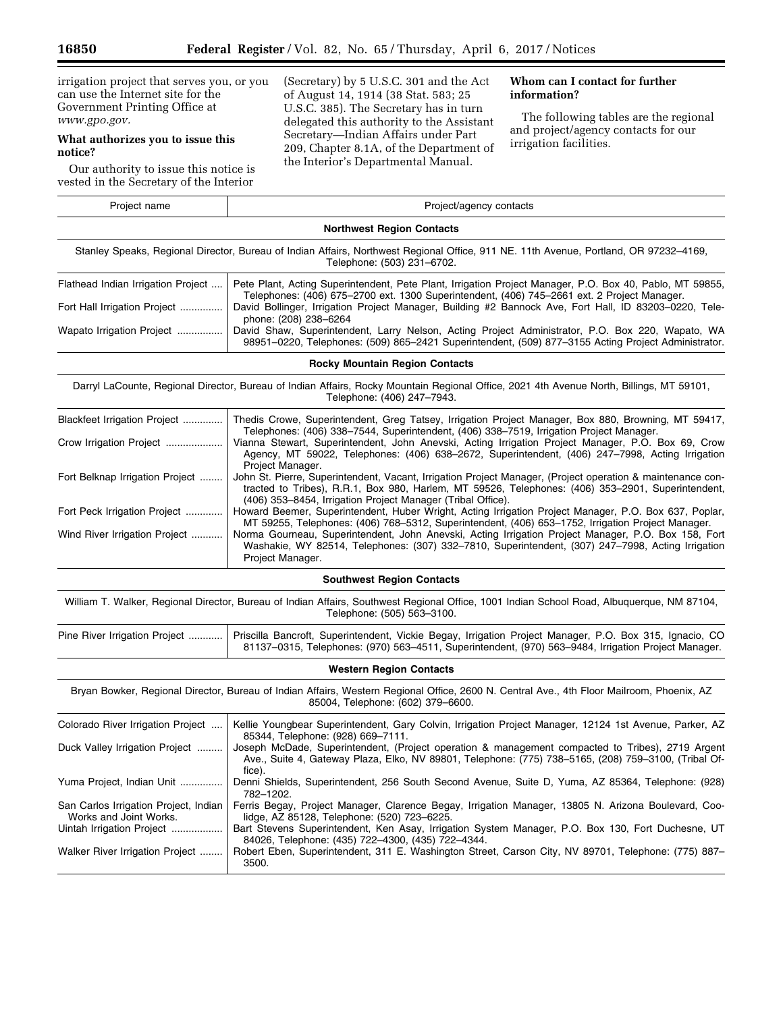irrigation project that serves you, or you can use the Internet site for the Government Printing Office at *[www.gpo.gov.](http://www.gpo.gov)* 

# **What authorizes you to issue this notice?**

Our authority to issue this notice is vested in the Secretary of the Interior

(Secretary) by 5 U.S.C. 301 and the Act of August 14, 1914 (38 Stat. 583; 25 U.S.C. 385). The Secretary has in turn delegated this authority to the Assistant Secretary—Indian Affairs under Part 209, Chapter 8.1A, of the Department of the Interior's Departmental Manual.

# **Whom can I contact for further information?**

The following tables are the regional and project/agency contacts for our irrigation facilities.

| Project name                                                                                                                                                        | Project/agency contacts                                                                                                                                                                                 |  |  |  |
|---------------------------------------------------------------------------------------------------------------------------------------------------------------------|---------------------------------------------------------------------------------------------------------------------------------------------------------------------------------------------------------|--|--|--|
|                                                                                                                                                                     | <b>Northwest Region Contacts</b>                                                                                                                                                                        |  |  |  |
| Stanley Speaks, Regional Director, Bureau of Indian Affairs, Northwest Regional Office, 911 NE. 11th Avenue, Portland, OR 97232-4169,<br>Telephone: (503) 231-6702. |                                                                                                                                                                                                         |  |  |  |
| Flathead Indian Irrigation Project                                                                                                                                  | Pete Plant, Acting Superintendent, Pete Plant, Irrigation Project Manager, P.O. Box 40, Pablo, MT 59855,<br>Telephones: (406) 675–2700 ext. 1300 Superintendent. (406) 745–2661 ext. 2 Project Manager. |  |  |  |
| Fort Hall Irrigation Project                                                                                                                                        | David Bollinger, Irrigation Project Manager, Building #2 Bannock Ave, Fort Hall, ID 83203-0220, Tele-<br>phone: (208) 238-6264                                                                          |  |  |  |
| Wapato Irrigation Project                                                                                                                                           | David Shaw, Superintendent, Larry Nelson, Acting Project Administrator, P.O. Box 220, Wapato, WA<br>98951-0220, Telephones: (509) 865-2421 Superintendent, (509) 877-3155 Acting Project Administrator. |  |  |  |
| <b>Rocky Mountain Region Contacts</b>                                                                                                                               |                                                                                                                                                                                                         |  |  |  |

Darryl LaCounte, Regional Director, Bureau of Indian Affairs, Rocky Mountain Regional Office, 2021 4th Avenue North, Billings, MT 59101, Telephone: (406) 247–7943.

| Blackfeet Irrigation Project    | Thedis Crowe, Superintendent, Greg Tatsey, Irrigation Project Manager, Box 880, Browning, MT 59417,<br>Telephones: (406) 338–7544, Superintendent, (406) 338–7519, Irrigation Project Manager.                                                                                 |
|---------------------------------|--------------------------------------------------------------------------------------------------------------------------------------------------------------------------------------------------------------------------------------------------------------------------------|
| Crow Irrigation Project         | Vianna Stewart, Superintendent, John Anevski, Acting Irrigation Project Manager, P.O. Box 69, Crow<br>Agency, MT 59022, Telephones: (406) 638–2672, Superintendent, (406) 247–7998, Acting Irrigation<br>Project Manager.                                                      |
| Fort Belknap Irrigation Project | John St. Pierre, Superintendent, Vacant, Irrigation Project Manager, (Project operation & maintenance con-<br>tracted to Tribes), R.R.1, Box 980, Harlem, MT 59526, Telephones: (406) 353–2901, Superintendent,<br>(406) 353–8454, Irrigation Project Manager (Tribal Office). |
| Fort Peck Irrigation Project    | Howard Beemer, Superintendent, Huber Wright, Acting Irrigation Project Manager, P.O. Box 637, Poplar,<br>MT 59255, Telephones: (406) 768–5312, Superintendent, (406) 653–1752, Irrigation Project Manager.                                                                     |
| Wind River Irrigation Project   | Norma Gourneau, Superintendent, John Anevski, Acting Irrigation Project Manager, P.O. Box 158, Fort<br>Washakie, WY 82514, Telephones: (307) 332–7810, Superintendent, (307) 247–7998, Acting Irrigation<br>Project Manager.                                                   |

# **Southwest Region Contacts**

William T. Walker, Regional Director, Bureau of Indian Affairs, Southwest Regional Office, 1001 Indian School Road, Albuquerque, NM 87104, Telephone: (505) 563–3100.

| Pine River Irrigation Project    Priscilla Bancroft, Superintendent, Vickie Begay, Irrigation Project Manager, P.O. Box 315, Ignacio, CO |
|------------------------------------------------------------------------------------------------------------------------------------------|
| 81137-0315, Telephones: (970) 563-4511, Superintendent, (970) 563-9484, Irrigation Project Manager.                                      |

### **Western Region Contacts**

Bryan Bowker, Regional Director, Bureau of Indian Affairs, Western Regional Office, 2600 N. Central Ave., 4th Floor Mailroom, Phoenix, AZ 85004, Telephone: (602) 379–6600.

| Colorado River Irrigation Project                               | Kellie Youngbear Superintendent, Gary Colvin, Irrigation Project Manager, 12124 1st Avenue, Parker, AZ<br>85344, Telephone: (928) 669-7111.                                                                        |
|-----------------------------------------------------------------|--------------------------------------------------------------------------------------------------------------------------------------------------------------------------------------------------------------------|
| Duck Valley Irrigation Project                                  | Joseph McDade, Superintendent, (Project operation & management compacted to Tribes), 2719 Argent<br>Ave., Suite 4, Gateway Plaza, Elko, NV 89801, Telephone: (775) 738–5165, (208) 759–3100, (Tribal Of-<br>fice). |
| Yuma Project, Indian Unit                                       | Denni Shields, Superintendent, 256 South Second Avenue, Suite D, Yuma, AZ 85364, Telephone: (928)<br>782-1202.                                                                                                     |
| San Carlos Irrigation Project, Indian<br>Works and Joint Works. | Ferris Begay, Project Manager, Clarence Begay, Irrigation Manager, 13805 N. Arizona Boulevard, Coo-<br>lidge, AZ 85128, Telephone: (520) 723-6225.                                                                 |
| Uintah Irrigation Project                                       | Bart Stevens Superintendent, Ken Asay, Irrigation System Manager, P.O. Box 130, Fort Duchesne, UT<br>84026, Telephone: (435) 722-4300, (435) 722-4344.                                                             |
| Walker River Irrigation Project                                 | Robert Eben, Superintendent, 311 E. Washington Street, Carson City, NV 89701, Telephone: (775) 887-<br>3500.                                                                                                       |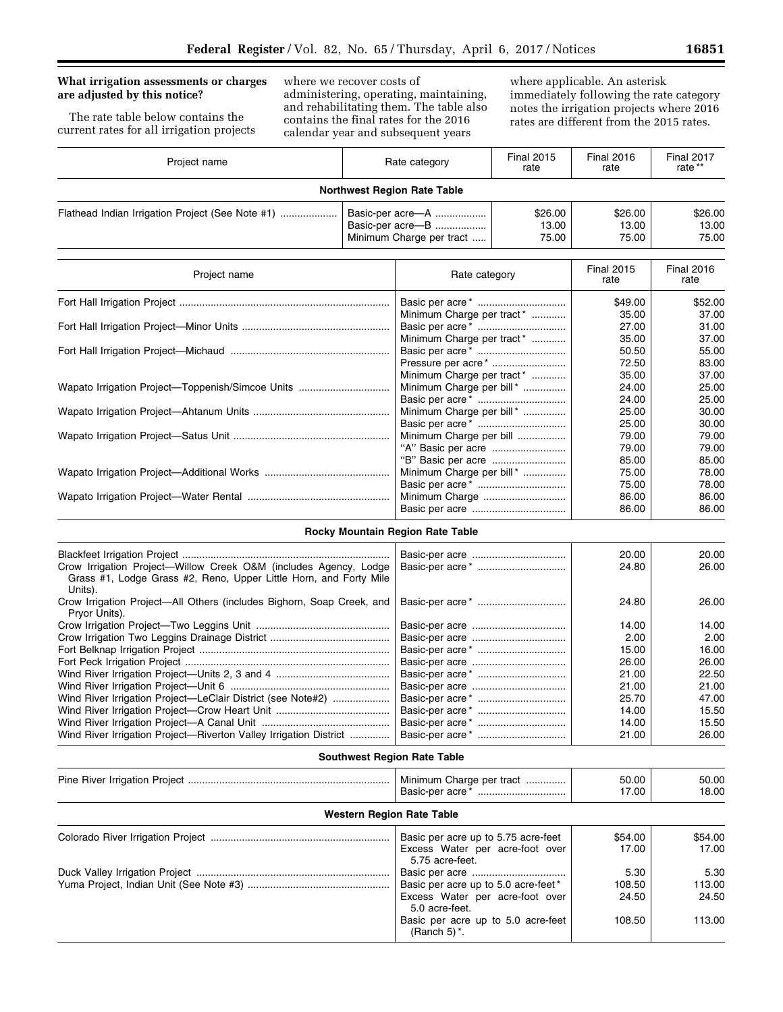# **What irrigation assessments or charges are adjusted by this notice?**

The rate table below contains the current rates for all irrigation projects

where we recover costs of administering, operating, maintaining, and rehabilitating them. The table also contains the final rates for the 2016 calendar year and subsequent years

where applicable. An asterisk immediately following the rate category notes the irrigation projects where 2016 rates are different from the 2015 rates.

| Project name | Rate category                                                    | <b>Final 2015</b><br>rate | <b>Final 2016</b><br>rate | <b>Final 2017</b><br>rate ** |
|--------------|------------------------------------------------------------------|---------------------------|---------------------------|------------------------------|
|              | <b>Northwest Region Rate Table</b>                               |                           |                           |                              |
|              | Basic-per acre-A<br>Basic-per acre-B<br>Minimum Charge per tract | \$26.00<br>13.00<br>75.00 | \$26.00<br>13.00<br>75.00 | \$26.00<br>13.00<br>75.00    |

| Project name                                     | Rate category                  | <b>Final 2015</b><br>rate | <b>Final 2016</b><br>rate |
|--------------------------------------------------|--------------------------------|---------------------------|---------------------------|
|                                                  |                                | \$49.00                   | \$52.00                   |
|                                                  | Minimum Charge per tract*      | 35.00                     | 37.00                     |
|                                                  |                                | 27.00                     | 31.00                     |
|                                                  | Minimum Charge per tract*      | 35.00                     | 37.00                     |
|                                                  |                                | 50.50                     | 55.00                     |
|                                                  | Pressure per acre <sup>*</sup> | 72.50                     | 83.00                     |
|                                                  | Minimum Charge per tract*      | 35.00                     | 37.00                     |
| Wapato Irrigation Project—Toppenish/Simcoe Units | Minimum Charge per bill*       | 24.00                     | 25.00                     |
|                                                  |                                | 24.00                     | 25.00                     |
|                                                  | Minimum Charge per bill*       | 25.00                     | 30.00                     |
|                                                  |                                | 25.00                     | 30.00                     |
|                                                  | Minimum Charge per bill        | 79.00                     | 79.00                     |
|                                                  |                                | 79.00                     | 79.00                     |
|                                                  |                                | 85.00                     | 85.00                     |
|                                                  | Minimum Charge per bill*       | 75.00                     | 78.00                     |
|                                                  |                                | 75.00                     | 78.00                     |
|                                                  |                                | 86.00                     | 86.00                     |
|                                                  |                                | 86.00                     | 86.00                     |

# **Rocky Mountain Region Rate Table**

| Crow Irrigation Project—Willow Creek O&M (includes Agency, Lodge<br>Grass #1, Lodge Grass #2, Reno, Upper Little Horn, and Forty Mile<br>Units). | 20.00<br>24.80 | 20.00<br>26.00 |
|--------------------------------------------------------------------------------------------------------------------------------------------------|----------------|----------------|
| Crow Irrigation Project—All Others (includes Bighorn, Soap Creek, and<br>Pryor Units).                                                           | 24.80          | 26.00          |
|                                                                                                                                                  | 14.00          | 14.00          |
|                                                                                                                                                  | 2.00           | 2.00           |
|                                                                                                                                                  | 15.00          | 16.00          |
|                                                                                                                                                  | 26.00          | 26.00          |
|                                                                                                                                                  | 21.00          | 22.50          |
|                                                                                                                                                  | 21.00          | 21.00          |
| Wind River Irrigation Project-LeClair District (see Note#2)                                                                                      | 25.70          | 47.00          |
|                                                                                                                                                  | 14.00          | 15.50          |
|                                                                                                                                                  | 14.00          | 15.50          |
| Wind River Irrigation Project-Riverton Valley Irrigation District                                                                                | 21.00          | 26.00          |

# **Southwest Region Rate Table**

|                                  | Minimum Charge per tract                               | 50.00<br>17.00 | 50.00<br>18.00 |  |  |  |
|----------------------------------|--------------------------------------------------------|----------------|----------------|--|--|--|
| <b>Western Region Rate Table</b> |                                                        |                |                |  |  |  |
|                                  | Basic per acre up to 5.75 acre-feet                    | \$54.00        | \$54.00        |  |  |  |
|                                  | Excess Water per acre-foot over<br>5.75 acre-feet.     | 17.00          | 17.00          |  |  |  |
|                                  |                                                        | 5.30           | 5.30           |  |  |  |
|                                  | Basic per acre up to 5.0 acre-feet*                    | 108.50         | 113.00         |  |  |  |
|                                  | Excess Water per acre-foot over<br>5.0 acre-feet.      | 24.50          | 24.50          |  |  |  |
|                                  | Basic per acre up to 5.0 acre-feet<br>(Ranch 5) $^*$ . | 108.50         | 113.00         |  |  |  |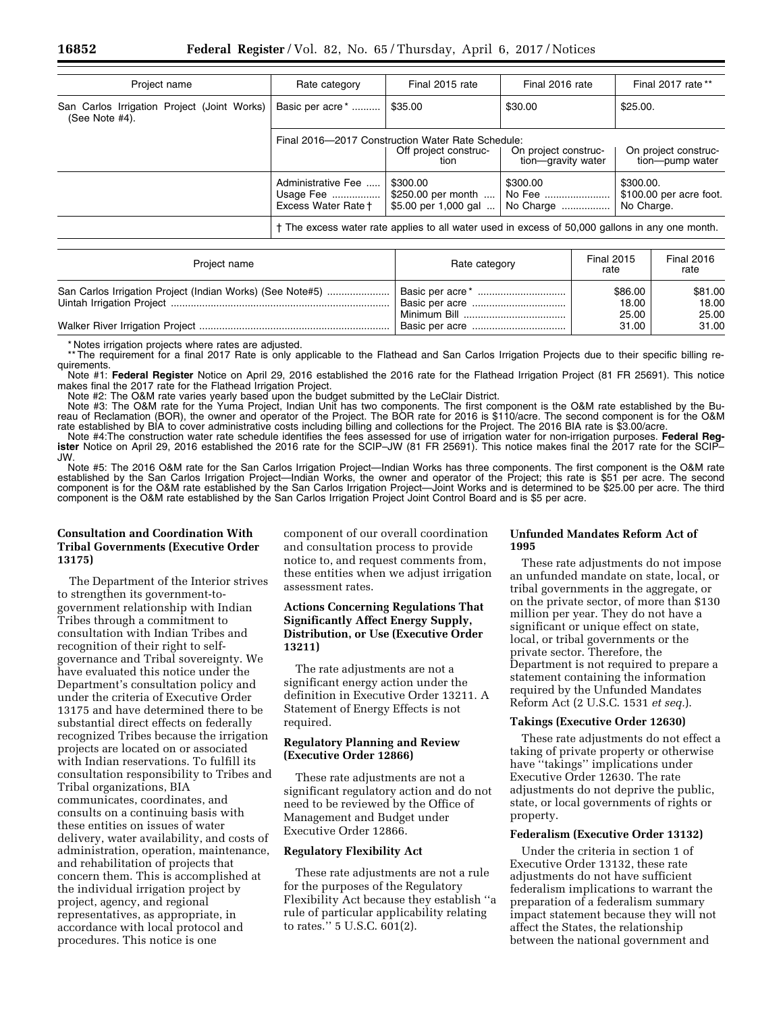| Project name                                                  | Rate category                                             | Final 2015 rate                                                                                 | Final 2016 rate                            | Final 2017 rate **                                 |
|---------------------------------------------------------------|-----------------------------------------------------------|-------------------------------------------------------------------------------------------------|--------------------------------------------|----------------------------------------------------|
| San Carlos Irrigation Project (Joint Works)<br>(See Note #4). | Basic per acre <sup>*</sup>                               | \$35.00                                                                                         | \$30.00                                    | \$25.00.                                           |
|                                                               |                                                           | Final 2016-2017 Construction Water Rate Schedule:<br>Off project construc-<br>tion              | On project construc-<br>tion-qravity water | On project construc-<br>tion-pump water            |
|                                                               | Administrative Fee<br>Usage Fee   <br>Excess Water Rate + | \$300.00<br>\$250.00 per month<br>\$5.00 per 1,000 gal                                          | \$300.00<br>No Fee<br>No Charge            | \$300.00.<br>\$100.00 per acre foot.<br>No Charge. |
|                                                               |                                                           | † The excess water rate applies to all water used in excess of 50,000 gallons in any one month. |                                            |                                                    |

| Project name                                              | Rate category | <b>Final 2015</b><br>rate | <b>Final 2016</b><br>rate |
|-----------------------------------------------------------|---------------|---------------------------|---------------------------|
| San Carlos Irrigation Project (Indian Works) (See Note#5) |               | \$86.00                   | \$81.00                   |
|                                                           |               | 18.00                     | 18.00                     |
|                                                           |               | 25.00                     | 25.00                     |
|                                                           |               | 31.00                     | 31.00                     |

\* Notes irrigation projects where rates are adjusted.

\*\* The requirement for a final 2017 Rate is only applicable to the Flathead and San Carlos Irrigation Projects due to their specific billing requirements.

Note #1: **Federal Register** Notice on April 29, 2016 established the 2016 rate for the Flathead Irrigation Project (81 FR 25691). This notice makes final the 2017 rate for the Flathead Irrigation Project.

Note #2: The O&M rate varies yearly based upon the budget submitted by the LeClair District.

Note #3: The O&M rate for the Yuma Project, Indian Unit has two components. The first component is the O&M rate established by the Bureau of Reclamation (BOR), the owner and operator of the Project. The BOR rate for 2016 is \$110/acre. The second component is for the O&M rate established by BIA to cover administrative costs including billing and collections for the Project. The 2016 BIA rate is \$3.00/acre.

Note #4:The construction water rate schedule identifies the fees assessed for use of irrigation water for non-irrigation purposes. **Federal Register** Notice on April 29, 2016 established the 2016 rate for the SCIP–JW (81 FR 25691). This notice makes final the 2017 rate for the SCIP– JW.

Note #5: The 2016 O&M rate for the San Carlos Irrigation Project—Indian Works has three components. The first component is the O&M rate established by the San Carlos Irrigation Project—Indian Works, the owner and operator of the Project; this rate is \$51 per acre. The second component is for the O&M rate established by the San Carlos Irrigation Project—Joint Works and is determined to be \$25.00 per acre. The third component is the O&M rate established by the San Carlos Irrigation Project Joint Control Board and is \$5 per acre.

# **Consultation and Coordination With Tribal Governments (Executive Order 13175)**

The Department of the Interior strives to strengthen its government-togovernment relationship with Indian Tribes through a commitment to consultation with Indian Tribes and recognition of their right to selfgovernance and Tribal sovereignty. We have evaluated this notice under the Department's consultation policy and under the criteria of Executive Order 13175 and have determined there to be substantial direct effects on federally recognized Tribes because the irrigation projects are located on or associated with Indian reservations. To fulfill its consultation responsibility to Tribes and Tribal organizations, BIA communicates, coordinates, and consults on a continuing basis with these entities on issues of water delivery, water availability, and costs of administration, operation, maintenance, and rehabilitation of projects that concern them. This is accomplished at the individual irrigation project by project, agency, and regional representatives, as appropriate, in accordance with local protocol and procedures. This notice is one

component of our overall coordination and consultation process to provide notice to, and request comments from, these entities when we adjust irrigation assessment rates.

# **Actions Concerning Regulations That Significantly Affect Energy Supply, Distribution, or Use (Executive Order 13211)**

The rate adjustments are not a significant energy action under the definition in Executive Order 13211. A Statement of Energy Effects is not required.

# **Regulatory Planning and Review (Executive Order 12866)**

These rate adjustments are not a significant regulatory action and do not need to be reviewed by the Office of Management and Budget under Executive Order 12866.

## **Regulatory Flexibility Act**

These rate adjustments are not a rule for the purposes of the Regulatory Flexibility Act because they establish ''a rule of particular applicability relating to rates.'' 5 U.S.C. 601(2).

## **Unfunded Mandates Reform Act of 1995**

These rate adjustments do not impose an unfunded mandate on state, local, or tribal governments in the aggregate, or on the private sector, of more than \$130 million per year. They do not have a significant or unique effect on state, local, or tribal governments or the private sector. Therefore, the Department is not required to prepare a statement containing the information required by the Unfunded Mandates Reform Act (2 U.S.C. 1531 *et seq.*).

### **Takings (Executive Order 12630)**

These rate adjustments do not effect a taking of private property or otherwise have ''takings'' implications under Executive Order 12630. The rate adjustments do not deprive the public, state, or local governments of rights or property.

### **Federalism (Executive Order 13132)**

Under the criteria in section 1 of Executive Order 13132, these rate adjustments do not have sufficient federalism implications to warrant the preparation of a federalism summary impact statement because they will not affect the States, the relationship between the national government and